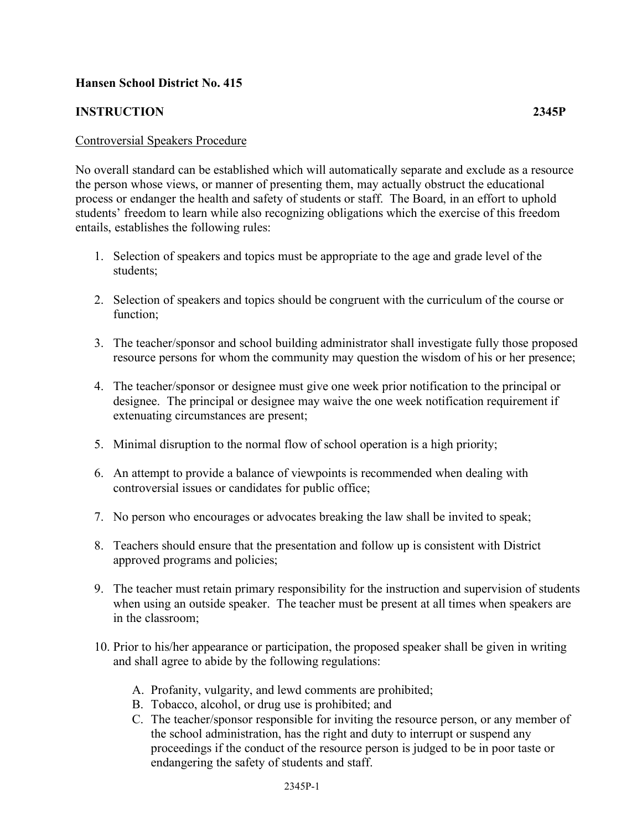## **Hansen School District No. 415**

## **INSTRUCTION 2345P**

## Controversial Speakers Procedure

No overall standard can be established which will automatically separate and exclude as a resource the person whose views, or manner of presenting them, may actually obstruct the educational process or endanger the health and safety of students or staff. The Board, in an effort to uphold students' freedom to learn while also recognizing obligations which the exercise of this freedom entails, establishes the following rules:

- 1. Selection of speakers and topics must be appropriate to the age and grade level of the students;
- 2. Selection of speakers and topics should be congruent with the curriculum of the course or function;
- 3. The teacher/sponsor and school building administrator shall investigate fully those proposed resource persons for whom the community may question the wisdom of his or her presence;
- 4. The teacher/sponsor or designee must give one week prior notification to the principal or designee. The principal or designee may waive the one week notification requirement if extenuating circumstances are present;
- 5. Minimal disruption to the normal flow of school operation is a high priority;
- 6. An attempt to provide a balance of viewpoints is recommended when dealing with controversial issues or candidates for public office;
- 7. No person who encourages or advocates breaking the law shall be invited to speak;
- 8. Teachers should ensure that the presentation and follow up is consistent with District approved programs and policies;
- 9. The teacher must retain primary responsibility for the instruction and supervision of students when using an outside speaker. The teacher must be present at all times when speakers are in the classroom;
- 10. Prior to his/her appearance or participation, the proposed speaker shall be given in writing and shall agree to abide by the following regulations:
	- A. Profanity, vulgarity, and lewd comments are prohibited;
	- B. Tobacco, alcohol, or drug use is prohibited; and
	- C. The teacher/sponsor responsible for inviting the resource person, or any member of the school administration, has the right and duty to interrupt or suspend any proceedings if the conduct of the resource person is judged to be in poor taste or endangering the safety of students and staff.